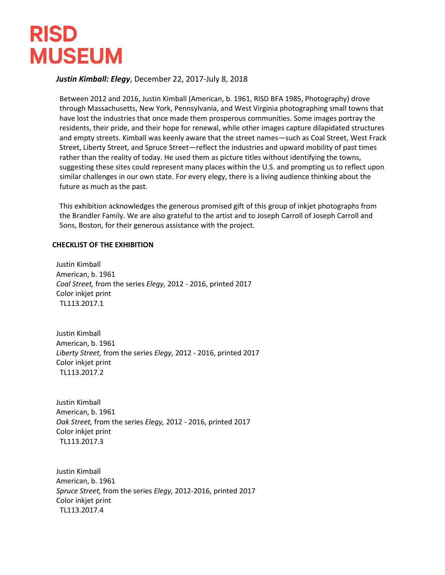## **RISD MUSEUM**

## *Justin Kimball: Elegy*, December 22, 2017-July 8, 2018

Between 2012 and 2016, Justin Kimball (American, b. 1961, RISD BFA 1985, Photography) drove through Massachusetts, New York, Pennsylvania, and West Virginia photographing small towns that have lost the industries that once made them prosperous communities. Some images portray the residents, their pride, and their hope for renewal, while other images capture dilapidated structures and empty streets. Kimball was keenly aware that the street names—such as Coal Street, West Frack Street, Liberty Street, and Spruce Street—reflect the industries and upward mobility of past times rather than the reality of today. He used them as picture titles without identifying the towns, suggesting these sites could represent many places within the U.S. and prompting us to reflect upon similar challenges in our own state. For every elegy, there is a living audience thinking about the future as much as the past.

This exhibition acknowledges the generous promised gift of this group of inkjet photographs from the Brandler Family. We are also grateful to the artist and to Joseph Carroll of Joseph Carroll and Sons, Boston, for their generous assistance with the project.

## **CHECKLIST OF THE EXHIBITION**

Justin Kimball American, b. 1961 *Coal Street,* from the series *Elegy,* 2012 - 2016, printed 2017 Color inkjet print TL113.2017.1

Justin Kimball American, b. 1961 *Liberty Street,* from the series *Elegy,* 2012 - 2016, printed 2017 Color inkjet print TL113.2017.2

Justin Kimball American, b. 1961 *Oak Street,* from the series *Elegy,* 2012 - 2016, printed 2017 Color inkjet print TL113.2017.3

Justin Kimball American, b. 1961 *Spruce Street,* from the series *Elegy,* 2012-2016, printed 2017 Color inkjet print TL113.2017.4